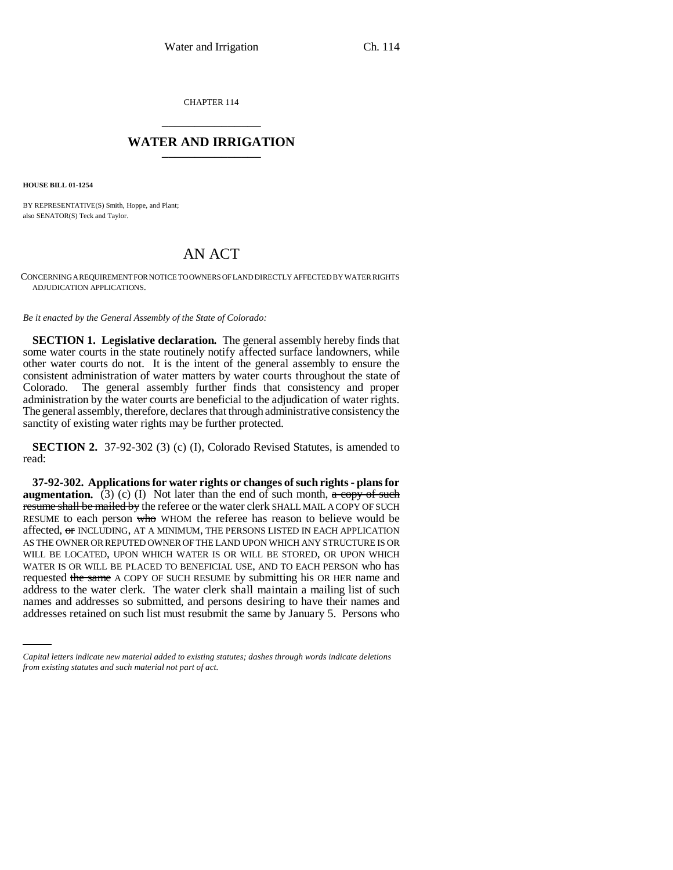CHAPTER 114 \_\_\_\_\_\_\_\_\_\_\_\_\_\_\_

## **WATER AND IRRIGATION** \_\_\_\_\_\_\_\_\_\_\_\_\_\_\_

**HOUSE BILL 01-1254**

BY REPRESENTATIVE(S) Smith, Hoppe, and Plant; also SENATOR(S) Teck and Taylor.

## AN ACT

CONCERNING A REQUIREMENT FOR NOTICE TO OWNERS OF LAND DIRECTLY AFFECTED BY WATER RIGHTS ADJUDICATION APPLICATIONS.

*Be it enacted by the General Assembly of the State of Colorado:*

**SECTION 1. Legislative declaration.** The general assembly hereby finds that some water courts in the state routinely notify affected surface landowners, while other water courts do not. It is the intent of the general assembly to ensure the consistent administration of water matters by water courts throughout the state of Colorado. The general assembly further finds that consistency and proper administration by the water courts are beneficial to the adjudication of water rights. The general assembly, therefore, declares that through administrative consistency the sanctity of existing water rights may be further protected.

**SECTION 2.** 37-92-302 (3) (c) (I), Colorado Revised Statutes, is amended to read:

address to the water clerk. The water clerk shall maintain a mailing list of such **37-92-302. Applications for water rights or changes of such rights - plans for augmentation.** (3) (c) (I) Not later than the end of such month,  $\alpha$  copy of such resume shall be mailed by the referee or the water clerk SHALL MAIL A COPY OF SUCH RESUME to each person who WHOM the referee has reason to believe would be affected, or INCLUDING, AT A MINIMUM, THE PERSONS LISTED IN EACH APPLICATION AS THE OWNER OR REPUTED OWNER OF THE LAND UPON WHICH ANY STRUCTURE IS OR WILL BE LOCATED, UPON WHICH WATER IS OR WILL BE STORED, OR UPON WHICH WATER IS OR WILL BE PLACED TO BENEFICIAL USE, AND TO EACH PERSON who has requested the same A COPY OF SUCH RESUME by submitting his OR HER name and names and addresses so submitted, and persons desiring to have their names and addresses retained on such list must resubmit the same by January 5. Persons who

*Capital letters indicate new material added to existing statutes; dashes through words indicate deletions from existing statutes and such material not part of act.*